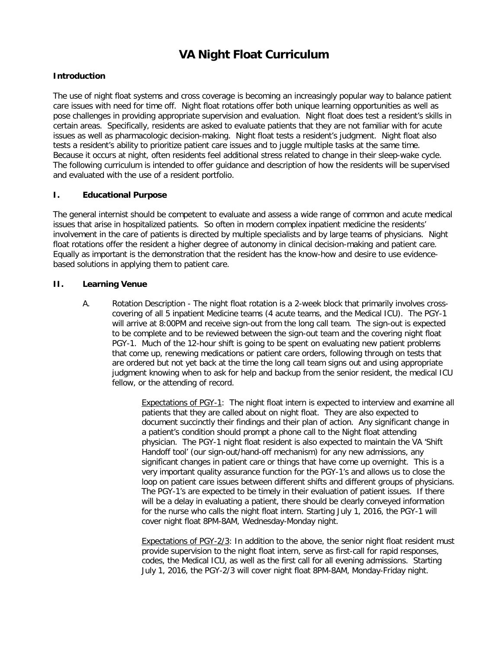# **VA Night Float Curriculum**

# **Introduction**

The use of night float systems and cross coverage is becoming an increasingly popular way to balance patient care issues with need for time off. Night float rotations offer both unique learning opportunities as well as pose challenges in providing appropriate supervision and evaluation. Night float does test a resident's skills in certain areas. Specifically, residents are asked to evaluate patients that they are not familiar with for acute issues as well as pharmacologic decision-making. Night float tests a resident's judgment. Night float also tests a resident's ability to prioritize patient care issues and to juggle multiple tasks at the same time. Because it occurs at night, often residents feel additional stress related to change in their sleep-wake cycle. The following curriculum is intended to offer guidance and description of how the residents will be supervised and evaluated with the use of a resident portfolio.

## **I. Educational Purpose**

The general internist should be competent to evaluate and assess a wide range of common and acute medical issues that arise in hospitalized patients. So often in modern complex inpatient medicine the residents' involvement in the care of patients is directed by multiple specialists and by large teams of physicians. Night float rotations offer the resident a higher degree of autonomy in clinical decision-making and patient care. Equally as important is the demonstration that the resident has the know-how and desire to use evidencebased solutions in applying them to patient care.

## **II. Learning Venue**

A. Rotation Description - The night float rotation is a 2-week block that primarily involves crosscovering of all 5 inpatient Medicine teams (4 acute teams, and the Medical ICU). The PGY-1 will arrive at 8:00PM and receive sign-out from the long call team. The sign-out is expected to be complete and to be reviewed between the sign-out team and the covering night float PGY-1. Much of the 12-hour shift is going to be spent on evaluating new patient problems that come up, renewing medications or patient care orders, following through on tests that are ordered but not yet back at the time the long call team signs out and using appropriate judgment knowing when to ask for help and backup from the senior resident, the medical ICU fellow, or the attending of record.

> Expectations of PGY-1: The night float intern is expected to interview and examine all patients that they are called about on night float. They are also expected to document succinctly their findings and their plan of action. Any significant change in a patient's condition should prompt a phone call to the Night float attending physician. The PGY-1 night float resident is also expected to maintain the VA 'Shift Handoff tool' (our sign-out/hand-off mechanism) for any new admissions, any significant changes in patient care or things that have come up overnight. This is a very important quality assurance function for the PGY-1's and allows us to close the loop on patient care issues between different shifts and different groups of physicians. The PGY-1's are expected to be timely in their evaluation of patient issues. If there will be a delay in evaluating a patient, there should be clearly conveyed information for the nurse who calls the night float intern. Starting July 1, 2016, the PGY-1 will cover night float 8PM-8AM, Wednesday-Monday night.

> Expectations of PGY-2/3: In addition to the above, the senior night float resident must provide supervision to the night float intern, serve as first-call for rapid responses, codes, the Medical ICU, as well as the first call for all evening admissions. Starting July 1, 2016, the PGY-2/3 will cover night float 8PM-8AM, Monday-Friday night.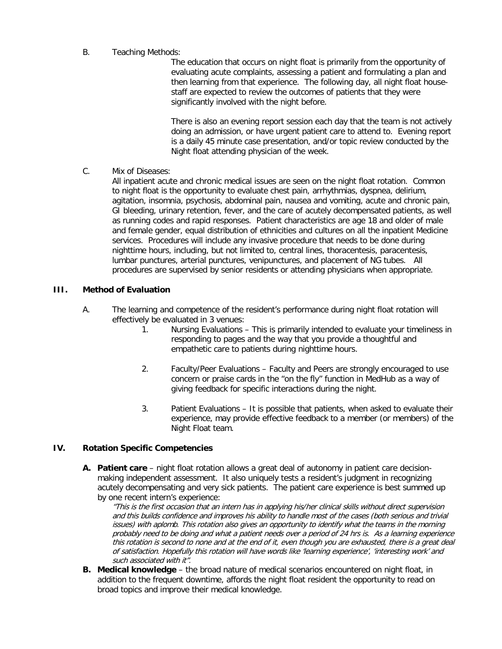#### B. Teaching Methods:

The education that occurs on night float is primarily from the opportunity of evaluating acute complaints, assessing a patient and formulating a plan and then learning from that experience. The following day, all night float housestaff are expected to review the outcomes of patients that they were significantly involved with the night before.

There is also an evening report session each day that the team is not actively doing an admission, or have urgent patient care to attend to. Evening report is a daily 45 minute case presentation, and/or topic review conducted by the Night float attending physician of the week.

C. Mix of Diseases:

All inpatient acute and chronic medical issues are seen on the night float rotation. Common to night float is the opportunity to evaluate chest pain, arrhythmias, dyspnea, delirium, agitation, insomnia, psychosis, abdominal pain, nausea and vomiting, acute and chronic pain, GI bleeding, urinary retention, fever, and the care of acutely decompensated patients, as well as running codes and rapid responses. Patient characteristics are age 18 and older of male and female gender, equal distribution of ethnicities and cultures on all the inpatient Medicine services. Procedures will include any invasive procedure that needs to be done during nighttime hours, including, but not limited to, central lines, thoracentesis, paracentesis, lumbar punctures, arterial punctures, venipunctures, and placement of NG tubes. All procedures are supervised by senior residents or attending physicians when appropriate.

#### **III. Method of Evaluation**

- A. The learning and competence of the resident's performance during night float rotation will effectively be evaluated in 3 venues:
	- 1. Nursing Evaluations This is primarily intended to evaluate your timeliness in responding to pages and the way that you provide a thoughtful and empathetic care to patients during nighttime hours.
	- 2. Faculty/Peer Evaluations Faculty and Peers are strongly encouraged to use concern or praise cards in the "on the fly" function in MedHub as a way of giving feedback for specific interactions during the night.
	- 3. Patient Evaluations It is possible that patients, when asked to evaluate their experience, may provide effective feedback to a member (or members) of the Night Float team.

#### **IV. Rotation Specific Competencies**

**A. Patient care** – night float rotation allows a great deal of autonomy in patient care decisionmaking independent assessment. It also uniquely tests a resident's judgment in recognizing acutely decompensating and very sick patients. The patient care experience is best summed up by one recent intern's experience:

"This is the first occasion that an intern has in applying his/her clinical skills without direct supervision and this builds confidence and improves his ability to handle most of the cases (both serious and trivial issues) with aplomb. This rotation also gives an opportunity to identify what the teams in the morning probably need to be doing and what a patient needs over a period of 24 hrs is. As a learning experience this rotation is second to none and at the end of it, even though you are exhausted, there is a great deal of satisfaction. Hopefully this rotation will have words like 'learning experience', 'interesting work' and such associated with it".

**B. Medical knowledge** – the broad nature of medical scenarios encountered on night float, in addition to the frequent downtime, affords the night float resident the opportunity to read on broad topics and improve their medical knowledge.